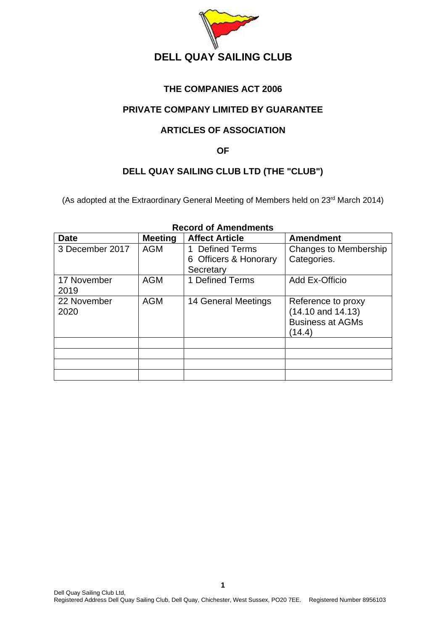

# **THE COMPANIES ACT 2006**

# **PRIVATE COMPANY LIMITED BY GUARANTEE**

# **ARTICLES OF ASSOCIATION**

### **OF**

# **DELL QUAY SAILING CLUB LTD (THE "CLUB")**

(As adopted at the Extraordinary General Meeting of Members held on 23<sup>rd</sup> March 2014)

| <b>Date</b>         | <b>Meeting</b> | <b>Affect Article</b>                                      | <b>Amendment</b>                                                                 |
|---------------------|----------------|------------------------------------------------------------|----------------------------------------------------------------------------------|
| 3 December 2017     | <b>AGM</b>     | <b>Defined Terms</b><br>6 Officers & Honorary<br>Secretary | <b>Changes to Membership</b><br>Categories.                                      |
| 17 November<br>2019 | <b>AGM</b>     | 1 Defined Terms                                            | Add Ex-Officio                                                                   |
| 22 November<br>2020 | <b>AGM</b>     | 14 General Meetings                                        | Reference to proxy<br>$(14.10$ and $14.13)$<br><b>Business at AGMs</b><br>(14.4) |
|                     |                |                                                            |                                                                                  |
|                     |                |                                                            |                                                                                  |
|                     |                |                                                            |                                                                                  |
|                     |                |                                                            |                                                                                  |

# **Record of Amendments**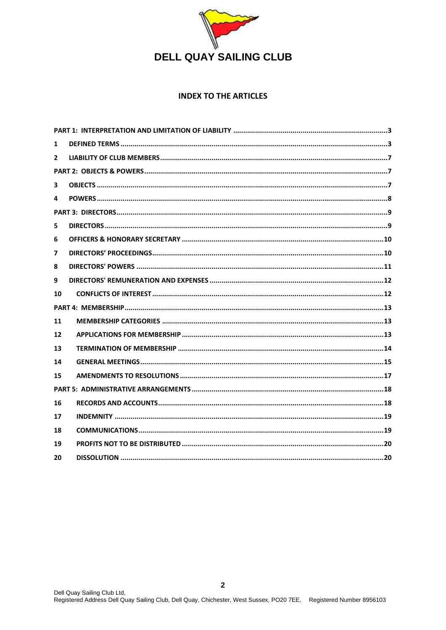

#### **INDEX TO THE ARTICLES**

| $\mathbf{1}$   |  |
|----------------|--|
| $\overline{2}$ |  |
|                |  |
| 3              |  |
| 4              |  |
|                |  |
| 5.             |  |
| 6              |  |
| 7              |  |
| 8              |  |
| 9              |  |
| 10             |  |
|                |  |
| 11             |  |
| 12             |  |
| 13             |  |
| 14             |  |
| 15             |  |
|                |  |
| 16             |  |
| 17             |  |
| 18             |  |
| 19             |  |
| 20             |  |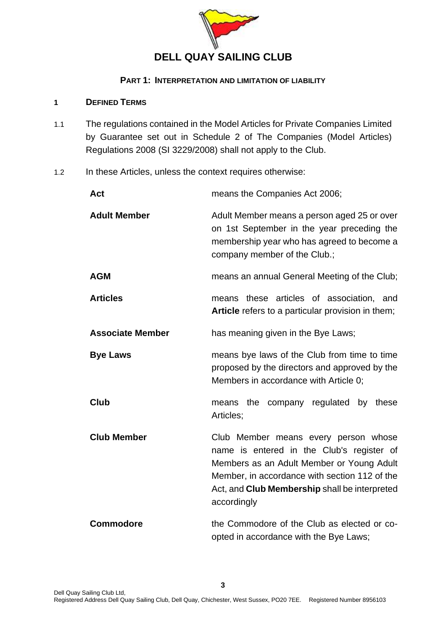

#### **PART 1: INTERPRETATION AND LIMITATION OF LIABILITY**

### <span id="page-2-1"></span><span id="page-2-0"></span>**1 DEFINED TERMS**

- 1.1 The regulations contained in the Model Articles for Private Companies Limited by Guarantee set out in Schedule 2 of The Companies (Model Articles) Regulations 2008 (SI 3229/2008) shall not apply to the Club.
- 1.2 In these Articles, unless the context requires otherwise:

| <b>Act</b>              | means the Companies Act 2006;                                                                                                                                                                                                                          |
|-------------------------|--------------------------------------------------------------------------------------------------------------------------------------------------------------------------------------------------------------------------------------------------------|
| <b>Adult Member</b>     | Adult Member means a person aged 25 or over<br>on 1st September in the year preceding the<br>membership year who has agreed to become a<br>company member of the Club.;                                                                                |
| <b>AGM</b>              | means an annual General Meeting of the Club;                                                                                                                                                                                                           |
| <b>Articles</b>         | means these articles of association, and<br>Article refers to a particular provision in them;                                                                                                                                                          |
| <b>Associate Member</b> | has meaning given in the Bye Laws;                                                                                                                                                                                                                     |
| <b>Bye Laws</b>         | means bye laws of the Club from time to time<br>proposed by the directors and approved by the<br>Members in accordance with Article 0;                                                                                                                 |
| <b>Club</b>             | means the company regulated by these<br>Articles;                                                                                                                                                                                                      |
| <b>Club Member</b>      | Club Member means every person whose<br>name is entered in the Club's register of<br>Members as an Adult Member or Young Adult<br>Member, in accordance with section 112 of the<br>Act, and <b>Club Membership</b> shall be interpreted<br>accordingly |
| <b>Commodore</b>        | the Commodore of the Club as elected or co-<br>opted in accordance with the Bye Laws;                                                                                                                                                                  |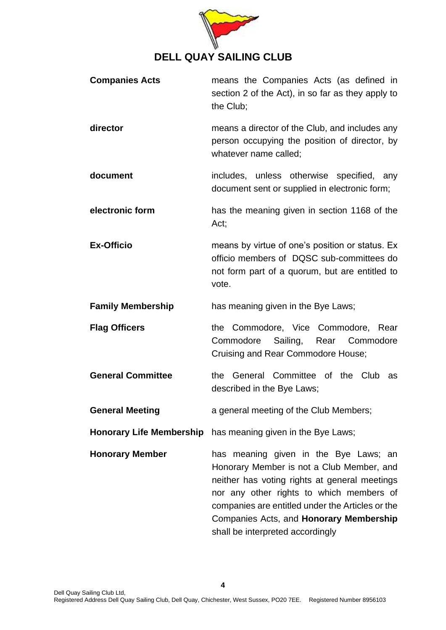

| <b>Companies Acts</b>    | means the Companies Acts (as defined in<br>section 2 of the Act), in so far as they apply to<br>the Club;                                                                                                                                                                                                          |
|--------------------------|--------------------------------------------------------------------------------------------------------------------------------------------------------------------------------------------------------------------------------------------------------------------------------------------------------------------|
| director                 | means a director of the Club, and includes any<br>person occupying the position of director, by<br>whatever name called;                                                                                                                                                                                           |
| document                 | includes, unless otherwise specified, any<br>document sent or supplied in electronic form;                                                                                                                                                                                                                         |
| electronic form          | has the meaning given in section 1168 of the<br>Act;                                                                                                                                                                                                                                                               |
| <b>Ex-Officio</b>        | means by virtue of one's position or status. Ex<br>officio members of DQSC sub-committees do<br>not form part of a quorum, but are entitled to<br>vote.                                                                                                                                                            |
| <b>Family Membership</b> | has meaning given in the Bye Laws;                                                                                                                                                                                                                                                                                 |
| <b>Flag Officers</b>     | the Commodore, Vice Commodore, Rear<br>Sailing, Rear Commodore<br>Commodore<br>Cruising and Rear Commodore House;                                                                                                                                                                                                  |
| <b>General Committee</b> | General Committee of the Club<br>the<br>as<br>described in the Bye Laws;                                                                                                                                                                                                                                           |
| <b>General Meeting</b>   | a general meeting of the Club Members;                                                                                                                                                                                                                                                                             |
|                          | Honorary Life Membership has meaning given in the Bye Laws;                                                                                                                                                                                                                                                        |
| <b>Honorary Member</b>   | has meaning given in the Bye Laws; an<br>Honorary Member is not a Club Member, and<br>neither has voting rights at general meetings<br>nor any other rights to which members of<br>companies are entitled under the Articles or the<br>Companies Acts, and Honorary Membership<br>shall be interpreted accordingly |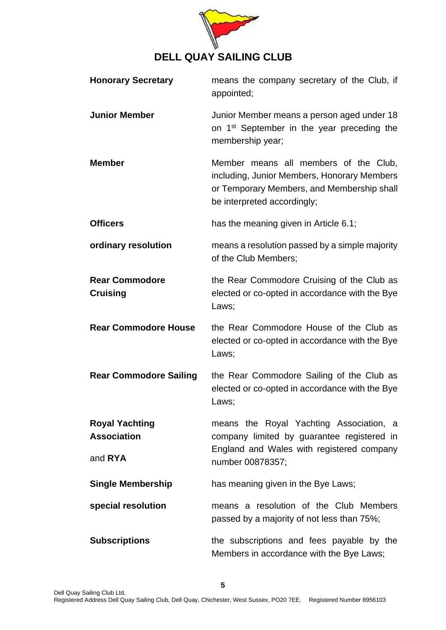

| <b>Honorary Secretary</b>                              | means the company secretary of the Club, if<br>appointed;                                                                                                         |
|--------------------------------------------------------|-------------------------------------------------------------------------------------------------------------------------------------------------------------------|
| <b>Junior Member</b>                                   | Junior Member means a person aged under 18<br>on 1 <sup>st</sup> September in the year preceding the<br>membership year;                                          |
| <b>Member</b>                                          | Member means all members of the Club,<br>including, Junior Members, Honorary Members<br>or Temporary Members, and Membership shall<br>be interpreted accordingly; |
| <b>Officers</b>                                        | has the meaning given in Article 6.1;                                                                                                                             |
| ordinary resolution                                    | means a resolution passed by a simple majority<br>of the Club Members;                                                                                            |
| <b>Rear Commodore</b><br><b>Cruising</b>               | the Rear Commodore Cruising of the Club as<br>elected or co-opted in accordance with the Bye<br>Laws;                                                             |
| <b>Rear Commodore House</b>                            | the Rear Commodore House of the Club as<br>elected or co-opted in accordance with the Bye<br>Laws;                                                                |
| <b>Rear Commodore Sailing</b>                          | the Rear Commodore Sailing of the Club as<br>elected or co-opted in accordance with the Bye<br>Laws;                                                              |
| <b>Royal Yachting</b><br><b>Association</b><br>and RYA | means the Royal Yachting Association, a<br>company limited by guarantee registered in<br>England and Wales with registered company<br>number 00878357;            |
| <b>Single Membership</b>                               | has meaning given in the Bye Laws;                                                                                                                                |
| special resolution                                     | means a resolution of the Club Members<br>passed by a majority of not less than 75%;                                                                              |
| <b>Subscriptions</b>                                   | the subscriptions and fees payable by the<br>Members in accordance with the Bye Laws;                                                                             |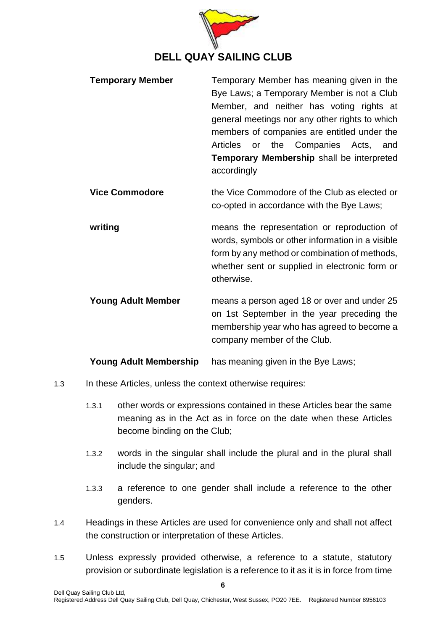

| <b>Temporary Member</b> | Temporary Member has meaning given in the<br>Bye Laws; a Temporary Member is not a Club<br>Member, and neither has voting rights at |
|-------------------------|-------------------------------------------------------------------------------------------------------------------------------------|
|                         | general meetings nor any other rights to which<br>members of companies are entitled under the                                       |
|                         | Articles or the Companies Acts,<br>and<br>Temporary Membership shall be interpreted<br>accordingly                                  |

**Vice Commodore** the Vice Commodore of the Club as elected or co-opted in accordance with the Bye Laws;

**writing** means the representation or reproduction of words, symbols or other information in a visible form by any method or combination of methods, whether sent or supplied in electronic form or otherwise.

**Young Adult Member** means a person aged 18 or over and under 25 on 1st September in the year preceding the membership year who has agreed to become a company member of the Club.

**Young Adult Membership** has meaning given in the Bye Laws;

- 1.3 In these Articles, unless the context otherwise requires:
	- 1.3.1 other words or expressions contained in these Articles bear the same meaning as in the Act as in force on the date when these Articles become binding on the Club;
	- 1.3.2 words in the singular shall include the plural and in the plural shall include the singular; and
	- 1.3.3 a reference to one gender shall include a reference to the other genders.
- 1.4 Headings in these Articles are used for convenience only and shall not affect the construction or interpretation of these Articles.
- 1.5 Unless expressly provided otherwise, a reference to a statute, statutory provision or subordinate legislation is a reference to it as it is in force from time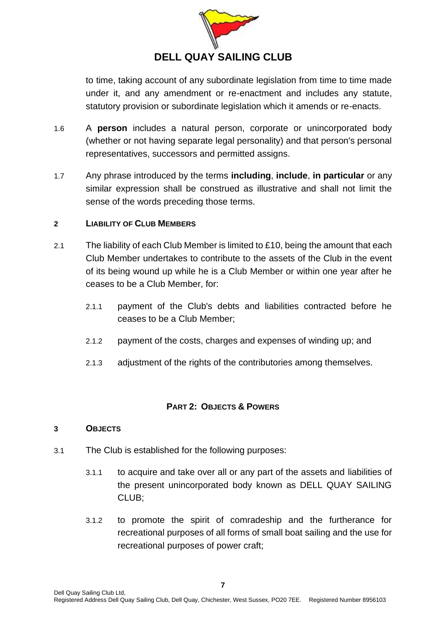

to time, taking account of any subordinate legislation from time to time made under it, and any amendment or re-enactment and includes any statute, statutory provision or subordinate legislation which it amends or re-enacts.

- 1.6 A **person** includes a natural person, corporate or unincorporated body (whether or not having separate legal personality) and that person's personal representatives, successors and permitted assigns.
- 1.7 Any phrase introduced by the terms **including**, **include**, **in particular** or any similar expression shall be construed as illustrative and shall not limit the sense of the words preceding those terms.

### <span id="page-6-0"></span>**2 LIABILITY OF CLUB MEMBERS**

- 2.1 The liability of each Club Member is limited to £10, being the amount that each Club Member undertakes to contribute to the assets of the Club in the event of its being wound up while he is a Club Member or within one year after he ceases to be a Club Member, for:
	- 2.1.1 payment of the Club's debts and liabilities contracted before he ceases to be a Club Member;
	- 2.1.2 payment of the costs, charges and expenses of winding up; and
	- 2.1.3 adjustment of the rights of the contributories among themselves.

### **PART 2: OBJECTS & POWERS**

#### <span id="page-6-2"></span><span id="page-6-1"></span>**3 OBJECTS**

- <span id="page-6-4"></span><span id="page-6-3"></span>3.1 The Club is established for the following purposes:
	- 3.1.1 to acquire and take over all or any part of the assets and liabilities of the present unincorporated body known as DELL QUAY SAILING CLUB;
	- 3.1.2 to promote the spirit of comradeship and the furtherance for recreational purposes of all forms of small boat sailing and the use for recreational purposes of power craft;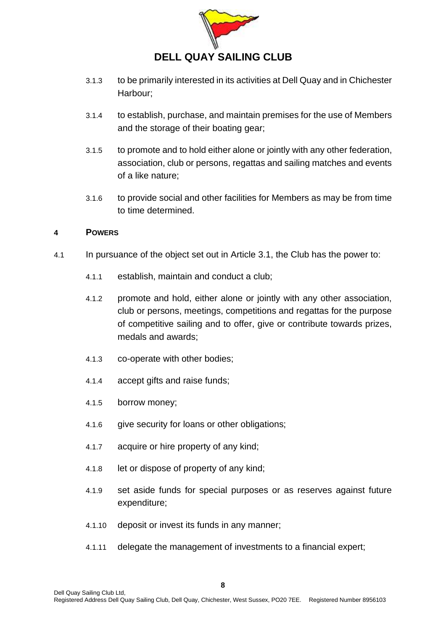

- 3.1.3 to be primarily interested in its activities at Dell Quay and in Chichester Harbour;
- 3.1.4 to establish, purchase, and maintain premises for the use of Members and the storage of their boating gear;
- 3.1.5 to promote and to hold either alone or jointly with any other federation, association, club or persons, regattas and sailing matches and events of a like nature;
- 3.1.6 to provide social and other facilities for Members as may be from time to time determined.

### <span id="page-7-0"></span>**4 POWERS**

- 4.1 In pursuance of the object set out in Article [3.1,](#page-6-3) the Club has the power to:
	- 4.1.1 establish, maintain and conduct a club;
	- 4.1.2 promote and hold, either alone or jointly with any other association, club or persons, meetings, competitions and regattas for the purpose of competitive sailing and to offer, give or contribute towards prizes, medals and awards;
	- 4.1.3 co-operate with other bodies;
	- 4.1.4 accept gifts and raise funds;
	- 4.1.5 borrow money;
	- 4.1.6 give security for loans or other obligations;
	- 4.1.7 acquire or hire property of any kind;
	- 4.1.8 let or dispose of property of any kind;
	- 4.1.9 set aside funds for special purposes or as reserves against future expenditure;
	- 4.1.10 deposit or invest its funds in any manner;
	- 4.1.11 delegate the management of investments to a financial expert;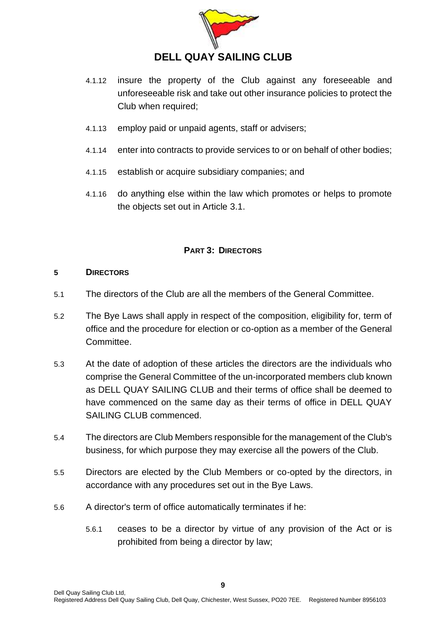

- 4.1.12 insure the property of the Club against any foreseeable and unforeseeable risk and take out other insurance policies to protect the Club when required;
- 4.1.13 employ paid or unpaid agents, staff or advisers;
- 4.1.14 enter into contracts to provide services to or on behalf of other bodies;
- 4.1.15 establish or acquire subsidiary companies; and
- 4.1.16 do anything else within the law which promotes or helps to promote the objects set out in Article [3.1.](#page-6-3)

### **PART 3: DIRECTORS**

#### <span id="page-8-1"></span><span id="page-8-0"></span>**5 DIRECTORS**

- 5.1 The directors of the Club are all the members of the General Committee.
- 5.2 The Bye Laws shall apply in respect of the composition, eligibility for, term of office and the procedure for election or co-option as a member of the General Committee.
- 5.3 At the date of adoption of these articles the directors are the individuals who comprise the General Committee of the un-incorporated members club known as DELL QUAY SAILING CLUB and their terms of office shall be deemed to have commenced on the same day as their terms of office in DELL QUAY SAILING CLUB commenced.
- 5.4 The directors are Club Members responsible for the management of the Club's business, for which purpose they may exercise all the powers of the Club.
- 5.5 Directors are elected by the Club Members or co-opted by the directors, in accordance with any procedures set out in the Bye Laws.
- 5.6 A director's term of office automatically terminates if he:
	- 5.6.1 ceases to be a director by virtue of any provision of the Act or is prohibited from being a director by law;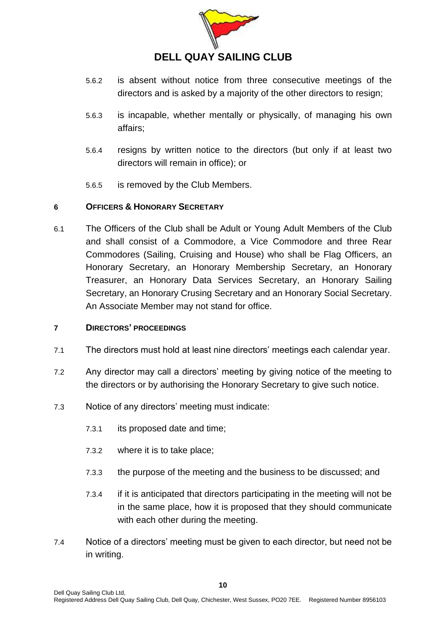

- 5.6.2 is absent without notice from three consecutive meetings of the directors and is asked by a majority of the other directors to resign;
- 5.6.3 is incapable, whether mentally or physically, of managing his own affairs;
- 5.6.4 resigns by written notice to the directors (but only if at least two directors will remain in office); or
- 5.6.5 is removed by the Club Members.

### <span id="page-9-0"></span>**6 OFFICERS & HONORARY SECRETARY**

<span id="page-9-2"></span>6.1 The Officers of the Club shall be Adult or Young Adult Members of the Club and shall consist of a Commodore, a Vice Commodore and three Rear Commodores (Sailing, Cruising and House) who shall be Flag Officers, an Honorary Secretary, an Honorary Membership Secretary, an Honorary Treasurer, an Honorary Data Services Secretary, an Honorary Sailing Secretary, an Honorary Crusing Secretary and an Honorary Social Secretary. An Associate Member may not stand for office.

#### <span id="page-9-1"></span>**7 DIRECTORS' PROCEEDINGS**

- 7.1 The directors must hold at least nine directors' meetings each calendar year.
- 7.2 Any director may call a directors' meeting by giving notice of the meeting to the directors or by authorising the Honorary Secretary to give such notice.
- 7.3 Notice of any directors' meeting must indicate:
	- 7.3.1 its proposed date and time;
	- 7.3.2 where it is to take place;
	- 7.3.3 the purpose of the meeting and the business to be discussed; and
	- 7.3.4 if it is anticipated that directors participating in the meeting will not be in the same place, how it is proposed that they should communicate with each other during the meeting.
- 7.4 Notice of a directors' meeting must be given to each director, but need not be in writing.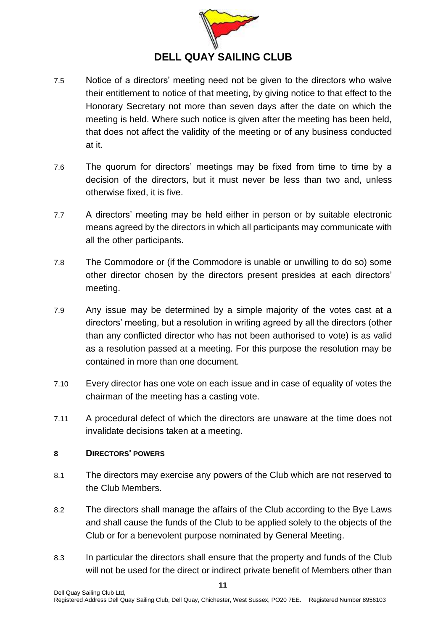

- 7.5 Notice of a directors' meeting need not be given to the directors who waive their entitlement to notice of that meeting, by giving notice to that effect to the Honorary Secretary not more than seven days after the date on which the meeting is held. Where such notice is given after the meeting has been held, that does not affect the validity of the meeting or of any business conducted at it.
- 7.6 The quorum for directors' meetings may be fixed from time to time by a decision of the directors, but it must never be less than two and, unless otherwise fixed, it is five.
- 7.7 A directors' meeting may be held either in person or by suitable electronic means agreed by the directors in which all participants may communicate with all the other participants.
- 7.8 The Commodore or (if the Commodore is unable or unwilling to do so) some other director chosen by the directors present presides at each directors' meeting.
- 7.9 Any issue may be determined by a simple majority of the votes cast at a directors' meeting, but a resolution in writing agreed by all the directors (other than any conflicted director who has not been authorised to vote) is as valid as a resolution passed at a meeting. For this purpose the resolution may be contained in more than one document.
- 7.10 Every director has one vote on each issue and in case of equality of votes the chairman of the meeting has a casting vote.
- 7.11 A procedural defect of which the directors are unaware at the time does not invalidate decisions taken at a meeting.

### <span id="page-10-0"></span>**8 DIRECTORS' POWERS**

- 8.1 The directors may exercise any powers of the Club which are not reserved to the Club Members.
- 8.2 The directors shall manage the affairs of the Club according to the Bye Laws and shall cause the funds of the Club to be applied solely to the objects of the Club or for a benevolent purpose nominated by General Meeting.
- 8.3 In particular the directors shall ensure that the property and funds of the Club will not be used for the direct or indirect private benefit of Members other than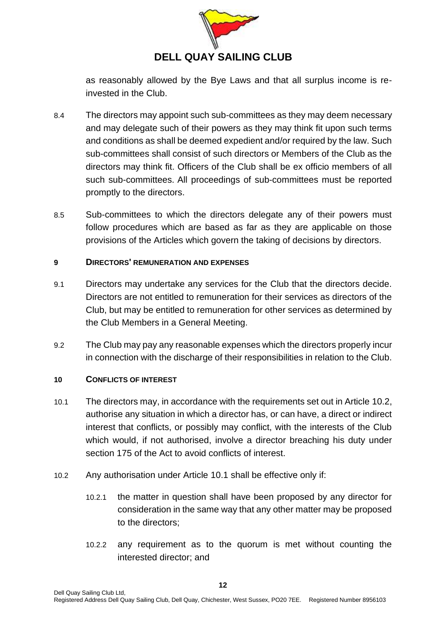

as reasonably allowed by the Bye Laws and that all surplus income is reinvested in the Club.

- 8.4 The directors may appoint such sub-committees as they may deem necessary and may delegate such of their powers as they may think fit upon such terms and conditions as shall be deemed expedient and/or required by the law. Such sub-committees shall consist of such directors or Members of the Club as the directors may think fit. Officers of the Club shall be ex officio members of all such sub-committees. All proceedings of sub-committees must be reported promptly to the directors.
- 8.5 Sub-committees to which the directors delegate any of their powers must follow procedures which are based as far as they are applicable on those provisions of the Articles which govern the taking of decisions by directors.

### <span id="page-11-0"></span>**9 DIRECTORS' REMUNERATION AND EXPENSES**

- 9.1 Directors may undertake any services for the Club that the directors decide. Directors are not entitled to remuneration for their services as directors of the Club, but may be entitled to remuneration for other services as determined by the Club Members in a General Meeting.
- 9.2 The Club may pay any reasonable expenses which the directors properly incur in connection with the discharge of their responsibilities in relation to the Club.

### <span id="page-11-1"></span>**10 CONFLICTS OF INTEREST**

- <span id="page-11-3"></span>10.1 The directors may, in accordance with the requirements set out in Article [10.2,](#page-11-2) authorise any situation in which a director has, or can have, a direct or indirect interest that conflicts, or possibly may conflict, with the interests of the Club which would, if not authorised, involve a director breaching his duty under section 175 of the Act to avoid conflicts of interest.
- <span id="page-11-2"></span>10.2 Any authorisation under Article [10.1](#page-11-3) shall be effective only if:
	- 10.2.1 the matter in question shall have been proposed by any director for consideration in the same way that any other matter may be proposed to the directors;
	- 10.2.2 any requirement as to the quorum is met without counting the interested director; and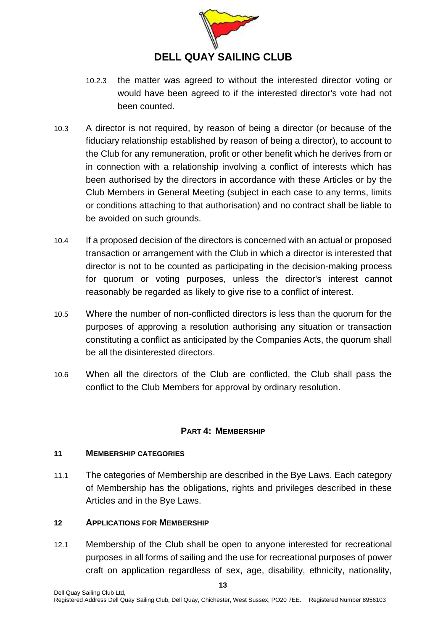

- 10.2.3 the matter was agreed to without the interested director voting or would have been agreed to if the interested director's vote had not been counted.
- 10.3 A director is not required, by reason of being a director (or because of the fiduciary relationship established by reason of being a director), to account to the Club for any remuneration, profit or other benefit which he derives from or in connection with a relationship involving a conflict of interests which has been authorised by the directors in accordance with these Articles or by the Club Members in General Meeting (subject in each case to any terms, limits or conditions attaching to that authorisation) and no contract shall be liable to be avoided on such grounds.
- 10.4 If a proposed decision of the directors is concerned with an actual or proposed transaction or arrangement with the Club in which a director is interested that director is not to be counted as participating in the decision-making process for quorum or voting purposes, unless the director's interest cannot reasonably be regarded as likely to give rise to a conflict of interest.
- 10.5 Where the number of non-conflicted directors is less than the quorum for the purposes of approving a resolution authorising any situation or transaction constituting a conflict as anticipated by the Companies Acts, the quorum shall be all the disinterested directors.
- 10.6 When all the directors of the Club are conflicted, the Club shall pass the conflict to the Club Members for approval by ordinary resolution.

### **PART 4: MEMBERSHIP**

### <span id="page-12-1"></span><span id="page-12-0"></span>**11 MEMBERSHIP CATEGORIES**

11.1 The categories of Membership are described in the Bye Laws. Each category of Membership has the obligations, rights and privileges described in these Articles and in the Bye Laws.

### <span id="page-12-2"></span>**12 APPLICATIONS FOR MEMBERSHIP**

12.1 Membership of the Club shall be open to anyone interested for recreational purposes in all forms of sailing and the use for recreational purposes of power craft on application regardless of sex, age, disability, ethnicity, nationality,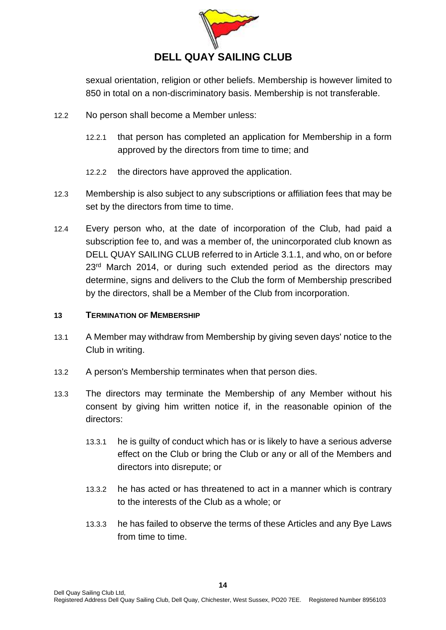

sexual orientation, religion or other beliefs. Membership is however limited to 850 in total on a non-discriminatory basis. Membership is not transferable.

- 12.2 No person shall become a Member unless:
	- 12.2.1 that person has completed an application for Membership in a form approved by the directors from time to time; and
	- 12.2.2 the directors have approved the application.
- 12.3 Membership is also subject to any subscriptions or affiliation fees that may be set by the directors from time to time.
- 12.4 Every person who, at the date of incorporation of the Club, had paid a subscription fee to, and was a member of, the unincorporated club known as DELL QUAY SAILING CLUB referred to in Article [3.1.1,](#page-6-4) and who, on or before 23<sup>rd</sup> March 2014, or during such extended period as the directors may determine, signs and delivers to the Club the form of Membership prescribed by the directors, shall be a Member of the Club from incorporation.

#### <span id="page-13-0"></span>**13 TERMINATION OF MEMBERSHIP**

- 13.1 A Member may withdraw from Membership by giving seven days' notice to the Club in writing.
- 13.2 A person's Membership terminates when that person dies.
- <span id="page-13-1"></span>13.3 The directors may terminate the Membership of any Member without his consent by giving him written notice if, in the reasonable opinion of the directors:
	- 13.3.1 he is guilty of conduct which has or is likely to have a serious adverse effect on the Club or bring the Club or any or all of the Members and directors into disrepute; or
	- 13.3.2 he has acted or has threatened to act in a manner which is contrary to the interests of the Club as a whole; or
	- 13.3.3 he has failed to observe the terms of these Articles and any Bye Laws from time to time.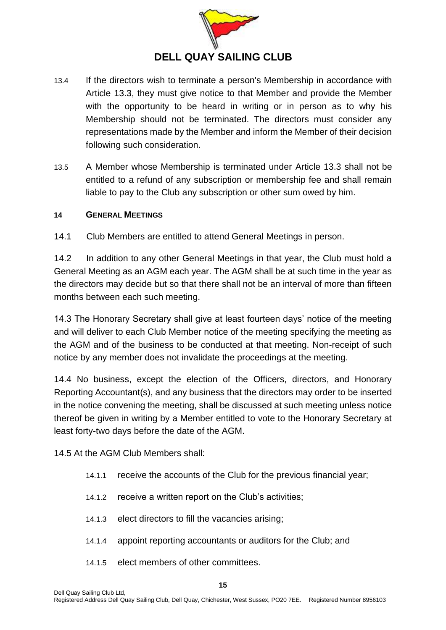

- 13.4 If the directors wish to terminate a person's Membership in accordance with Article [13.3,](#page-13-1) they must give notice to that Member and provide the Member with the opportunity to be heard in writing or in person as to why his Membership should not be terminated. The directors must consider any representations made by the Member and inform the Member of their decision following such consideration.
- 13.5 A Member whose Membership is terminated under Article [13.3](#page-13-1) shall not be entitled to a refund of any subscription or membership fee and shall remain liable to pay to the Club any subscription or other sum owed by him.

### <span id="page-14-0"></span>**14 GENERAL MEETINGS**

14.1 Club Members are entitled to attend General Meetings in person.

14.2 In addition to any other General Meetings in that year, the Club must hold a General Meeting as an AGM each year. The AGM shall be at such time in the year as the directors may decide but so that there shall not be an interval of more than fifteen months between each such meeting.

14.3 The Honorary Secretary shall give at least fourteen days' notice of the meeting and will deliver to each Club Member notice of the meeting specifying the meeting as the AGM and of the business to be conducted at that meeting. Non-receipt of such notice by any member does not invalidate the proceedings at the meeting.

14.4 No business, except the election of the Officers, directors, and Honorary Reporting Accountant(s), and any business that the directors may order to be inserted in the notice convening the meeting, shall be discussed at such meeting unless notice thereof be given in writing by a Member entitled to vote to the Honorary Secretary at least forty-two days before the date of the AGM.

14.5 At the AGM Club Members shall:

- 14.1.1 receive the accounts of the Club for the previous financial year;
- 14.1.2 receive a written report on the Club's activities;
- 14.1.3 elect directors to fill the vacancies arising;
- 14.1.4 appoint reporting accountants or auditors for the Club; and
- 14.1.5 elect members of other committees.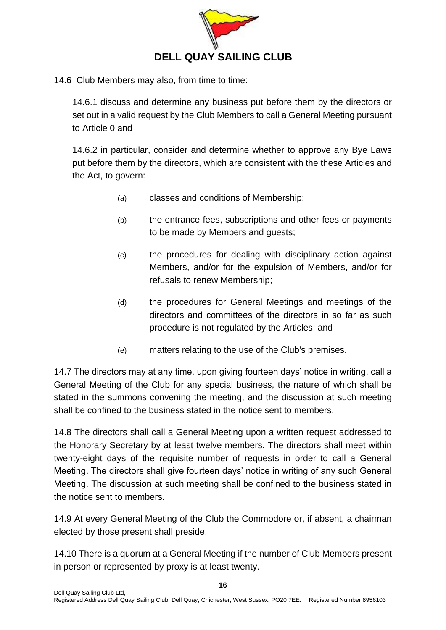

14.6 Club Members may also, from time to time:

14.6.1 discuss and determine any business put before them by the directors or set out in a valid request by the Club Members to call a General Meeting pursuant to Article [0](#page-15-1) and

<span id="page-15-0"></span>14.6.2 in particular, consider and determine whether to approve any Bye Laws put before them by the directors, which are consistent with the these Articles and the Act, to govern:

- (a) classes and conditions of Membership;
- (b) the entrance fees, subscriptions and other fees or payments to be made by Members and guests;
- (c) the procedures for dealing with disciplinary action against Members, and/or for the expulsion of Members, and/or for refusals to renew Membership;
- (d) the procedures for General Meetings and meetings of the directors and committees of the directors in so far as such procedure is not regulated by the Articles; and
- (e) matters relating to the use of the Club's premises.

14.7 The directors may at any time, upon giving fourteen days' notice in writing, call a General Meeting of the Club for any special business, the nature of which shall be stated in the summons convening the meeting, and the discussion at such meeting shall be confined to the business stated in the notice sent to members.

<span id="page-15-1"></span>14.8 The directors shall call a General Meeting upon a written request addressed to the Honorary Secretary by at least twelve members. The directors shall meet within twenty-eight days of the requisite number of requests in order to call a General Meeting. The directors shall give fourteen days' notice in writing of any such General Meeting. The discussion at such meeting shall be confined to the business stated in the notice sent to members.

14.9 At every General Meeting of the Club the Commodore or, if absent, a chairman elected by those present shall preside.

14.10 There is a quorum at a General Meeting if the number of Club Members present in person or represented by proxy is at least twenty.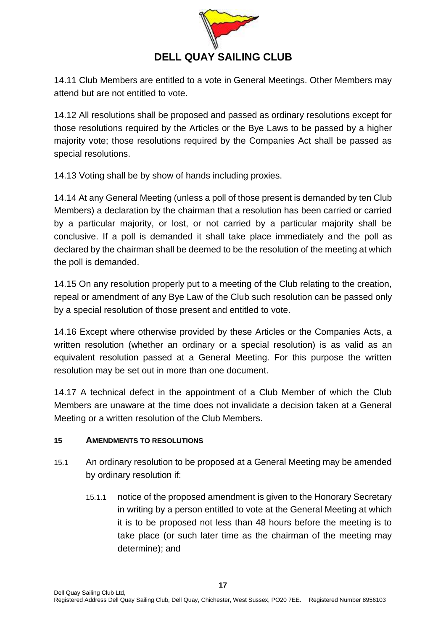

14.11 Club Members are entitled to a vote in General Meetings. Other Members may attend but are not entitled to vote.

14.12 All resolutions shall be proposed and passed as ordinary resolutions except for those resolutions required by the Articles or the Bye Laws to be passed by a higher majority vote; those resolutions required by the Companies Act shall be passed as special resolutions.

14.13 Voting shall be by show of hands including proxies.

14.14 At any General Meeting (unless a poll of those present is demanded by ten Club Members) a declaration by the chairman that a resolution has been carried or carried by a particular majority, or lost, or not carried by a particular majority shall be conclusive. If a poll is demanded it shall take place immediately and the poll as declared by the chairman shall be deemed to be the resolution of the meeting at which the poll is demanded.

14.15 On any resolution properly put to a meeting of the Club relating to the creation, repeal or amendment of any Bye Law of the Club such resolution can be passed only by a special resolution of those present and entitled to vote.

14.16 Except where otherwise provided by these Articles or the Companies Acts, a written resolution (whether an ordinary or a special resolution) is as valid as an equivalent resolution passed at a General Meeting. For this purpose the written resolution may be set out in more than one document.

14.17 A technical defect in the appointment of a Club Member of which the Club Members are unaware at the time does not invalidate a decision taken at a General Meeting or a written resolution of the Club Members.

### <span id="page-16-0"></span>**15 AMENDMENTS TO RESOLUTIONS**

- 15.1 An ordinary resolution to be proposed at a General Meeting may be amended by ordinary resolution if:
	- 15.1.1 notice of the proposed amendment is given to the Honorary Secretary in writing by a person entitled to vote at the General Meeting at which it is to be proposed not less than 48 hours before the meeting is to take place (or such later time as the chairman of the meeting may determine); and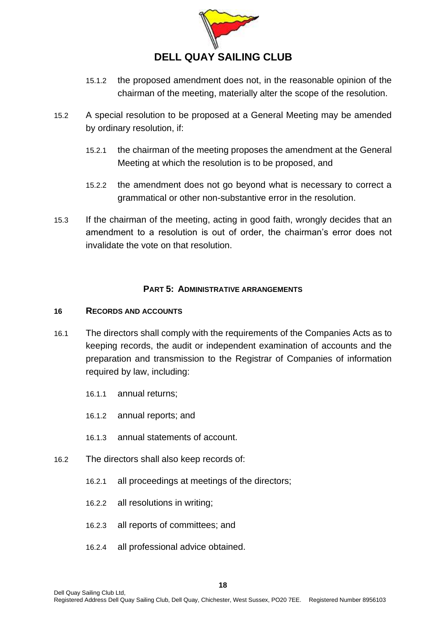

- 15.1.2 the proposed amendment does not, in the reasonable opinion of the chairman of the meeting, materially alter the scope of the resolution.
- 15.2 A special resolution to be proposed at a General Meeting may be amended by ordinary resolution, if:
	- 15.2.1 the chairman of the meeting proposes the amendment at the General Meeting at which the resolution is to be proposed, and
	- 15.2.2 the amendment does not go beyond what is necessary to correct a grammatical or other non-substantive error in the resolution.
- 15.3 If the chairman of the meeting, acting in good faith, wrongly decides that an amendment to a resolution is out of order, the chairman's error does not invalidate the vote on that resolution.

### **PART 5: ADMINISTRATIVE ARRANGEMENTS**

### <span id="page-17-1"></span><span id="page-17-0"></span>**16 RECORDS AND ACCOUNTS**

- 16.1 The directors shall comply with the requirements of the Companies Acts as to keeping records, the audit or independent examination of accounts and the preparation and transmission to the Registrar of Companies of information required by law, including:
	- 16.1.1 annual returns;
	- 16.1.2 annual reports; and
	- 16.1.3 annual statements of account.
- 16.2 The directors shall also keep records of:
	- 16.2.1 all proceedings at meetings of the directors;
	- 16.2.2 all resolutions in writing;
	- 16.2.3 all reports of committees; and
	- 16.2.4 all professional advice obtained.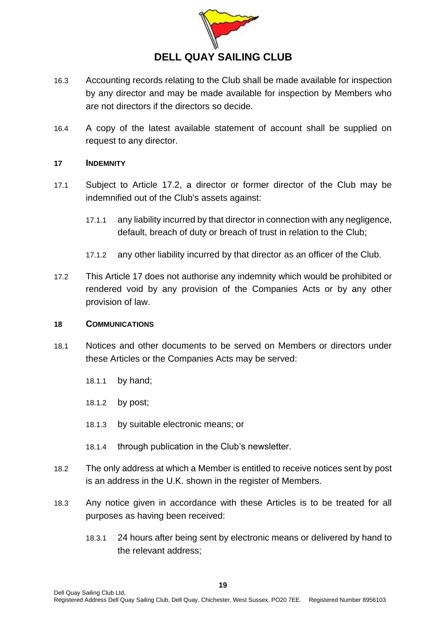

- 16.3 Accounting records relating to the Club shall be made available for inspection by any director and may be made available for inspection by Members who are not directors if the directors so decide.
- 16.4 A copy of the latest available statement of account shall be supplied on request to any director.

### <span id="page-18-0"></span>**17 INDEMNITY**

- 17.1 Subject to Article [17.2,](#page-18-2) a director or former director of the Club may be indemnified out of the Club's assets against:
	- 17.1.1 any liability incurred by that director in connection with any negligence, default, breach of duty or breach of trust in relation to the Club;
	- 17.1.2 any other liability incurred by that director as an officer of the Club.
- <span id="page-18-2"></span>17.2 This Article [17](#page-18-0) does not authorise any indemnity which would be prohibited or rendered void by any provision of the Companies Acts or by any other provision of law.

#### <span id="page-18-1"></span>**18 COMMUNICATIONS**

- 18.1 Notices and other documents to be served on Members or directors under these Articles or the Companies Acts may be served:
	- 18.1.1 by hand;
	- 18.1.2 by post;
	- 18.1.3 by suitable electronic means; or
	- 18.1.4 through publication in the Club's newsletter.
- 18.2 The only address at which a Member is entitled to receive notices sent by post is an address in the U.K. shown in the register of Members.
- 18.3 Any notice given in accordance with these Articles is to be treated for all purposes as having been received:
	- 18.3.1 24 hours after being sent by electronic means or delivered by hand to the relevant address;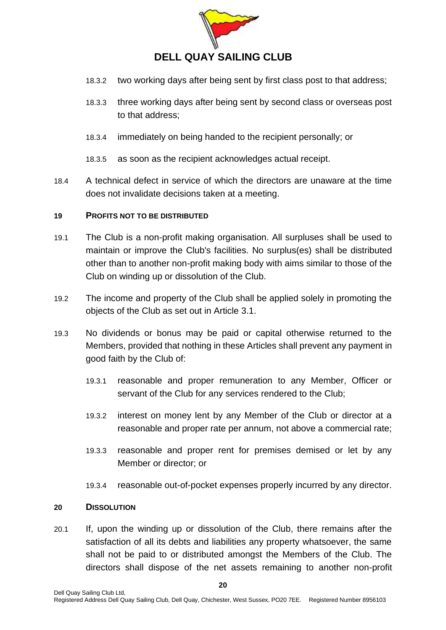

- 18.3.2 two working days after being sent by first class post to that address;
- 18.3.3 three working days after being sent by second class or overseas post to that address;
- 18.3.4 immediately on being handed to the recipient personally; or

18.3.5 as soon as the recipient acknowledges actual receipt.

18.4 A technical defect in service of which the directors are unaware at the time does not invalidate decisions taken at a meeting.

#### <span id="page-19-0"></span>**19 PROFITS NOT TO BE DISTRIBUTED**

- 19.1 The Club is a non-profit making organisation. All surpluses shall be used to maintain or improve the Club's facilities. No surplus(es) shall be distributed other than to another non-profit making body with aims similar to those of the Club on winding up or dissolution of the Club.
- 19.2 The income and property of the Club shall be applied solely in promoting the objects of the Club as set out in Article [3.1.](#page-6-3)
- 19.3 No dividends or bonus may be paid or capital otherwise returned to the Members, provided that nothing in these Articles shall prevent any payment in good faith by the Club of:
	- 19.3.1 reasonable and proper remuneration to any Member, Officer or servant of the Club for any services rendered to the Club;
	- 19.3.2 interest on money lent by any Member of the Club or director at a reasonable and proper rate per annum, not above a commercial rate;
	- 19.3.3 reasonable and proper rent for premises demised or let by any Member or director; or
	- 19.3.4 reasonable out-of-pocket expenses properly incurred by any director.

#### <span id="page-19-1"></span>**20 DISSOLUTION**

20.1 If, upon the winding up or dissolution of the Club, there remains after the satisfaction of all its debts and liabilities any property whatsoever, the same shall not be paid to or distributed amongst the Members of the Club. The directors shall dispose of the net assets remaining to another non-profit